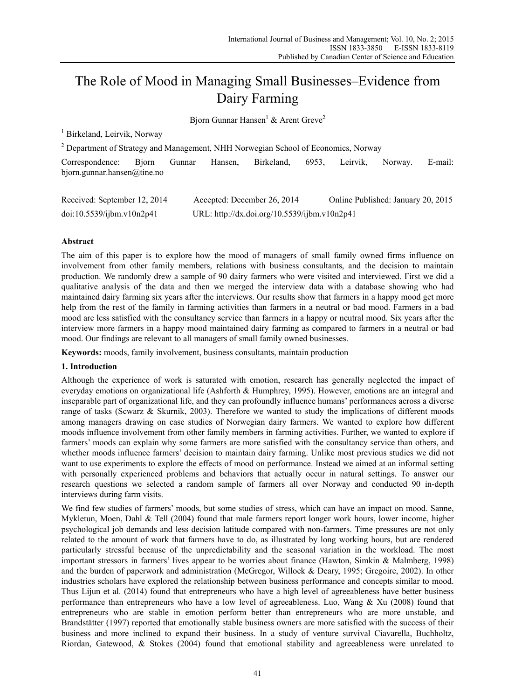# The Role of Mood in Managing Small Businesses–Evidence from Dairy Farming

Bjorn Gunnar Hansen<sup>1</sup> & Arent Greve<sup>2</sup>

<sup>1</sup> Birkeland, Leirvik, Norway

 $2^{2}$  Department of Strategy and Management, NHH Norwegian School of Economics, Norway

Correspondence: Bjorn Gunnar Hansen, Birkeland, 6953, Leirvik, Norway. E-mail: bjorn.gunnar.hansen@tine.no

| Received: September 12, 2014 | Accepted: December 26, 2014                  | Online Published: January 20, 2015 |
|------------------------------|----------------------------------------------|------------------------------------|
| doi:10.5539/ijbm.v10n2p41    | URL: http://dx.doi.org/10.5539/ijbm.v10n2p41 |                                    |

# **Abstract**

The aim of this paper is to explore how the mood of managers of small family owned firms influence on involvement from other family members, relations with business consultants, and the decision to maintain production. We randomly drew a sample of 90 dairy farmers who were visited and interviewed. First we did a qualitative analysis of the data and then we merged the interview data with a database showing who had maintained dairy farming six years after the interviews. Our results show that farmers in a happy mood get more help from the rest of the family in farming activities than farmers in a neutral or bad mood. Farmers in a bad mood are less satisfied with the consultancy service than farmers in a happy or neutral mood. Six years after the interview more farmers in a happy mood maintained dairy farming as compared to farmers in a neutral or bad mood. Our findings are relevant to all managers of small family owned businesses.

**Keywords:** moods, family involvement, business consultants, maintain production

# **1. Introduction**

Although the experience of work is saturated with emotion, research has generally neglected the impact of everyday emotions on organizational life (Ashforth & Humphrey, 1995). However, emotions are an integral and inseparable part of organizational life, and they can profoundly influence humans' performances across a diverse range of tasks (Scwarz & Skurnik, 2003). Therefore we wanted to study the implications of different moods among managers drawing on case studies of Norwegian dairy farmers. We wanted to explore how different moods influence involvement from other family members in farming activities. Further, we wanted to explore if farmers' moods can explain why some farmers are more satisfied with the consultancy service than others, and whether moods influence farmers' decision to maintain dairy farming. Unlike most previous studies we did not want to use experiments to explore the effects of mood on performance. Instead we aimed at an informal setting with personally experienced problems and behaviors that actually occur in natural settings. To answer our research questions we selected a random sample of farmers all over Norway and conducted 90 in-depth interviews during farm visits.

We find few studies of farmers' moods, but some studies of stress, which can have an impact on mood. Sanne, Mykletun, Moen, Dahl & Tell (2004) found that male farmers report longer work hours, lower income, higher psychological job demands and less decision latitude compared with non-farmers. Time pressures are not only related to the amount of work that farmers have to do, as illustrated by long working hours, but are rendered particularly stressful because of the unpredictability and the seasonal variation in the workload. The most important stressors in farmers' lives appear to be worries about finance (Hawton, Simkin & Malmberg, 1998) and the burden of paperwork and administration (McGregor, Willock & Deary, 1995; Gregoire, 2002). In other industries scholars have explored the relationship between business performance and concepts similar to mood. Thus Lijun et al. (2014) found that entrepreneurs who have a high level of agreeableness have better business performance than entrepreneurs who have a low level of agreeableness. Luo, Wang & Xu (2008) found that entrepreneurs who are stable in emotion perform better than entrepreneurs who are more unstable, and Brandstätter (1997) reported that emotionally stable business owners are more satisfied with the success of their business and more inclined to expand their business. In a study of venture survival Ciavarella, Buchholtz, Riordan, Gatewood, & Stokes (2004) found that emotional stability and agreeableness were unrelated to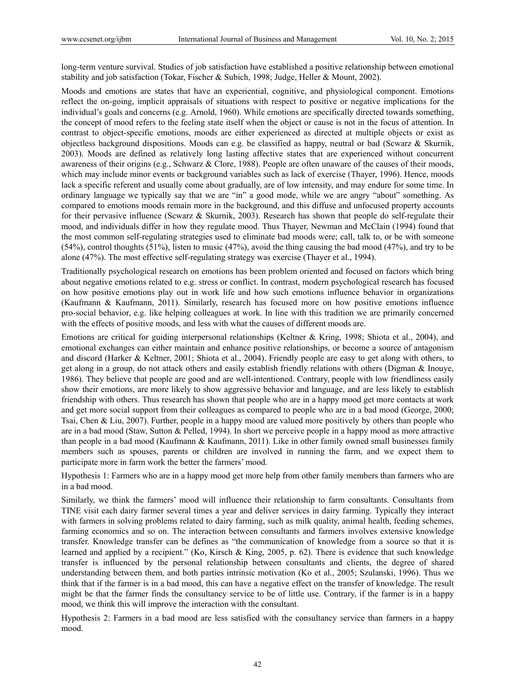long-term venture survival. Studies of job satisfaction have established a positive relationship between emotional stability and job satisfaction (Tokar, Fischer & Subich, 1998; Judge, Heller & Mount, 2002).

Moods and emotions are states that have an experiential, cognitive, and physiological component. Emotions reflect the on-going, implicit appraisals of situations with respect to positive or negative implications for the individual's goals and concerns (e.g. Arnold, 1960). While emotions are specifically directed towards something, the concept of mood refers to the feeling state itself when the object or cause is not in the focus of attention. In contrast to object-specific emotions, moods are either experienced as directed at multiple objects or exist as objectless background dispositions. Moods can e.g. be classified as happy, neutral or bad (Scwarz & Skurnik, 2003). Moods are defined as relatively long lasting affective states that are experienced without concurrent awareness of their origins (e.g., Schwarz & Clore, 1988). People are often unaware of the causes of their moods, which may include minor events or background variables such as lack of exercise (Thayer, 1996). Hence, moods lack a specific referent and usually come about gradually, are of low intensity, and may endure for some time. In ordinary language we typically say that we are "in" a good mode, while we are angry "about" something. As compared to emotions moods remain more in the background, and this diffuse and unfocused property accounts for their pervasive influence (Scwarz & Skurnik, 2003). Research has shown that people do self-regulate their mood, and individuals differ in how they regulate mood. Thus Thayer, Newman and McClain (1994) found that the most common self-regulating strategies used to eliminate bad moods were; call, talk to, or be with someone (54%), control thoughts (51%), listen to music (47%), avoid the thing causing the bad mood (47%), and try to be alone (47%). The most effective self-regulating strategy was exercise (Thayer et al., 1994).

Traditionally psychological research on emotions has been problem oriented and focused on factors which bring about negative emotions related to e.g. stress or conflict. In contrast, modern psychological research has focused on how positive emotions play out in work life and how such emotions influence behavior in organizations (Kaufmann & Kaufmann, 2011). Similarly, research has focused more on how positive emotions influence pro-social behavior, e.g. like helping colleagues at work. In line with this tradition we are primarily concerned with the effects of positive moods, and less with what the causes of different moods are.

Emotions are critical for guiding interpersonal relationships (Keltner & Kring, 1998; Shiota et al., 2004), and emotional exchanges can either maintain and enhance positive relationships, or become a source of antagonism and discord (Harker & Keltner, 2001; Shiota et al., 2004). Friendly people are easy to get along with others, to get along in a group, do not attack others and easily establish friendly relations with others (Digman & Inouye, 1986). They believe that people are good and are well-intentioned. Contrary, people with low friendliness easily show their emotions, are more likely to show aggressive behavior and language, and are less likely to establish friendship with others. Thus research has shown that people who are in a happy mood get more contacts at work and get more social support from their colleagues as compared to people who are in a bad mood (George, 2000; Tsai, Chen & Liu, 2007). Further, people in a happy mood are valued more positively by others than people who are in a bad mood (Staw, Sutton & Pelled, 1994). In short we perceive people in a happy mood as more attractive than people in a bad mood (Kaufmann & Kaufmann, 2011). Like in other family owned small businesses family members such as spouses, parents or children are involved in running the farm, and we expect them to participate more in farm work the better the farmers' mood.

Hypothesis 1: Farmers who are in a happy mood get more help from other family members than farmers who are in a bad mood.

Similarly, we think the farmers' mood will influence their relationship to farm consultants. Consultants from TINE visit each dairy farmer several times a year and deliver services in dairy farming. Typically they interact with farmers in solving problems related to dairy farming, such as milk quality, animal health, feeding schemes, farming economics and so on. The interaction between consultants and farmers involves extensive knowledge transfer. Knowledge transfer can be defines as "the communication of knowledge from a source so that it is learned and applied by a recipient." (Ko, Kirsch & King, 2005, p. 62). There is evidence that such knowledge transfer is influenced by the personal relationship between consultants and clients, the degree of shared understanding between them, and both parties intrinsic motivation (Ko et al., 2005; Szulanski, 1996). Thus we think that if the farmer is in a bad mood, this can have a negative effect on the transfer of knowledge. The result might be that the farmer finds the consultancy service to be of little use. Contrary, if the farmer is in a happy mood, we think this will improve the interaction with the consultant.

Hypothesis 2: Farmers in a bad mood are less satisfied with the consultancy service than farmers in a happy mood.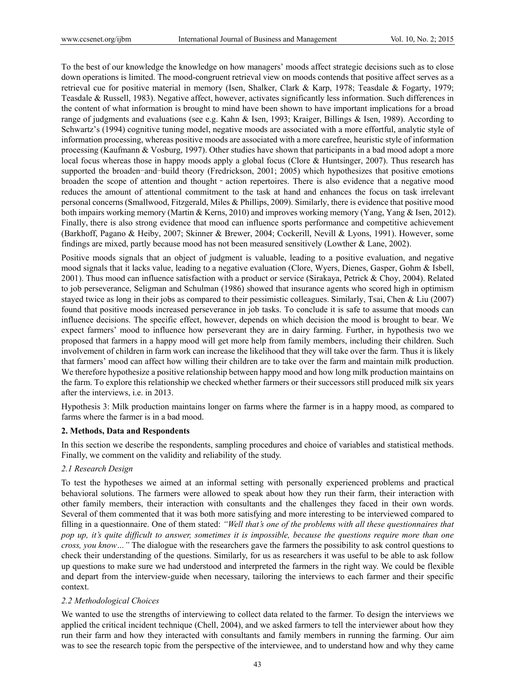To the best of our knowledge the knowledge on how managers' moods affect strategic decisions such as to close down operations is limited. The mood-congruent retrieval view on moods contends that positive affect serves as a retrieval cue for positive material in memory (Isen, Shalker, Clark & Karp, 1978; Teasdale & Fogarty, 1979; Teasdale & Russell, 1983). Negative affect, however, activates significantly less information. Such differences in the content of what information is brought to mind have been shown to have important implications for a broad range of judgments and evaluations (see e.g. Kahn & Isen, 1993; Kraiger, Billings & Isen, 1989). According to Schwartz's (1994) cognitive tuning model, negative moods are associated with a more effortful, analytic style of information processing, whereas positive moods are associated with a more carefree, heuristic style of information processing (Kaufmann & Vosburg, 1997). Other studies have shown that participants in a bad mood adopt a more local focus whereas those in happy moods apply a global focus (Clore & Huntsinger, 2007). Thus research has supported the broaden-and-build theory (Fredrickson, 2001; 2005) which hypothesizes that positive emotions broaden the scope of attention and thought - action repertoires. There is also evidence that a negative mood reduces the amount of attentional commitment to the task at hand and enhances the focus on task irrelevant personal concerns (Smallwood, Fitzgerald, Miles & Phillips, 2009). Similarly, there is evidence that positive mood both impairs working memory (Martin & Kerns, 2010) and improves working memory (Yang, Yang & Isen, 2012). Finally, there is also strong evidence that mood can influence sports performance and competitive achievement (Barkhoff, Pagano & Heiby, 2007; Skinner & Brewer, 2004; Cockerill, Nevill & Lyons, 1991). However, some findings are mixed, partly because mood has not been measured sensitively (Lowther & Lane, 2002).

Positive moods signals that an object of judgment is valuable, leading to a positive evaluation, and negative mood signals that it lacks value, leading to a negative evaluation (Clore, Wyers, Dienes, Gasper, Gohm & Isbell, 2001). Thus mood can influence satisfaction with a product or service (Sirakaya, Petrick & Choy, 2004). Related to job perseverance, Seligman and Schulman (1986) showed that insurance agents who scored high in optimism stayed twice as long in their jobs as compared to their pessimistic colleagues. Similarly, Tsai, Chen & Liu (2007) found that positive moods increased perseverance in job tasks. To conclude it is safe to assume that moods can influence decisions. The specific effect, however, depends on which decision the mood is brought to bear. We expect farmers' mood to influence how perseverant they are in dairy farming. Further, in hypothesis two we proposed that farmers in a happy mood will get more help from family members, including their children. Such involvement of children in farm work can increase the likelihood that they will take over the farm. Thus it is likely that farmers' mood can affect how willing their children are to take over the farm and maintain milk production. We therefore hypothesize a positive relationship between happy mood and how long milk production maintains on the farm. To explore this relationship we checked whether farmers or their successors still produced milk six years after the interviews, i.e. in 2013.

Hypothesis 3: Milk production maintains longer on farms where the farmer is in a happy mood, as compared to farms where the farmer is in a bad mood.

#### **2. Methods, Data and Respondents**

In this section we describe the respondents, sampling procedures and choice of variables and statistical methods. Finally, we comment on the validity and reliability of the study.

## *2.1 Research Design*

To test the hypotheses we aimed at an informal setting with personally experienced problems and practical behavioral solutions. The farmers were allowed to speak about how they run their farm, their interaction with other family members, their interaction with consultants and the challenges they faced in their own words. Several of them commented that it was both more satisfying and more interesting to be interviewed compared to filling in a questionnaire. One of them stated: *"Well that's one of the problems with all these questionnaires that pop up, it's quite difficult to answer, sometimes it is impossible, because the questions require more than one cross, you know…"* The dialogue with the researchers gave the farmers the possibility to ask control questions to check their understanding of the questions. Similarly, for us as researchers it was useful to be able to ask follow up questions to make sure we had understood and interpreted the farmers in the right way. We could be flexible and depart from the interview-guide when necessary, tailoring the interviews to each farmer and their specific context.

#### *2.2 Methodological Choices*

We wanted to use the strengths of interviewing to collect data related to the farmer. To design the interviews we applied the critical incident technique (Chell, 2004), and we asked farmers to tell the interviewer about how they run their farm and how they interacted with consultants and family members in running the farming. Our aim was to see the research topic from the perspective of the interviewee, and to understand how and why they came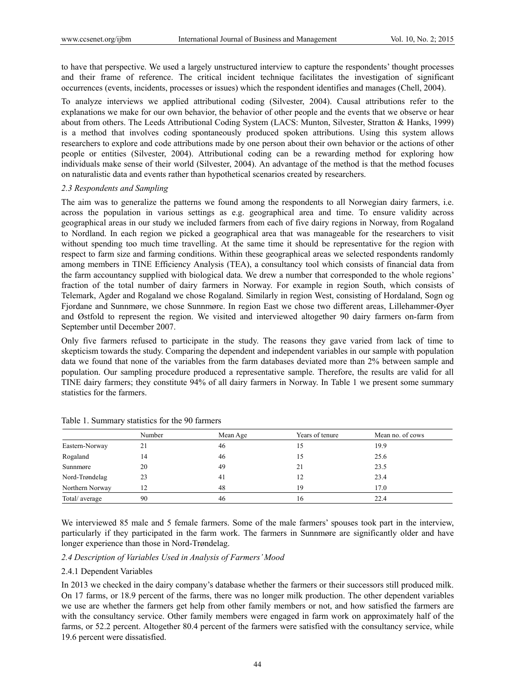to have that perspective. We used a largely unstructured interview to capture the respondents' thought processes and their frame of reference. The critical incident technique facilitates the investigation of significant occurrences (events, incidents, processes or issues) which the respondent identifies and manages (Chell, 2004).

To analyze interviews we applied attributional coding (Silvester, 2004). Causal attributions refer to the explanations we make for our own behavior, the behavior of other people and the events that we observe or hear about from others. The Leeds Attributional Coding System (LACS: Munton, Silvester, Stratton & Hanks, 1999) is a method that involves coding spontaneously produced spoken attributions. Using this system allows researchers to explore and code attributions made by one person about their own behavior or the actions of other people or entities (Silvester, 2004). Attributional coding can be a rewarding method for exploring how individuals make sense of their world (Silvester, 2004). An advantage of the method is that the method focuses on naturalistic data and events rather than hypothetical scenarios created by researchers.

#### *2.3 Respondents and Sampling*

The aim was to generalize the patterns we found among the respondents to all Norwegian dairy farmers, i.e. across the population in various settings as e.g. geographical area and time. To ensure validity across geographical areas in our study we included farmers from each of five dairy regions in Norway, from Rogaland to Nordland. In each region we picked a geographical area that was manageable for the researchers to visit without spending too much time travelling. At the same time it should be representative for the region with respect to farm size and farming conditions. Within these geographical areas we selected respondents randomly among members in TINE Efficiency Analysis (TEA), a consultancy tool which consists of financial data from the farm accountancy supplied with biological data. We drew a number that corresponded to the whole regions' fraction of the total number of dairy farmers in Norway. For example in region South, which consists of Telemark, Agder and Rogaland we chose Rogaland. Similarly in region West, consisting of Hordaland, Sogn og Fjordane and Sunnmøre, we chose Sunnmøre. In region East we chose two different areas, Lillehammer-Øyer and Østfold to represent the region. We visited and interviewed altogether 90 dairy farmers on-farm from September until December 2007.

Only five farmers refused to participate in the study. The reasons they gave varied from lack of time to skepticism towards the study. Comparing the dependent and independent variables in our sample with population data we found that none of the variables from the farm databases deviated more than 2% between sample and population. Our sampling procedure produced a representative sample. Therefore, the results are valid for all TINE dairy farmers; they constitute 94% of all dairy farmers in Norway. In Table 1 we present some summary statistics for the farmers.

|                 | Number | Mean Age | Years of tenure | Mean no. of cows |
|-----------------|--------|----------|-----------------|------------------|
| Eastern-Norway  | 21     | 46       |                 | 19.9             |
| Rogaland        | 14     | 46       | 15              | 25.6             |
| Sunnmøre        | 20     | 49       | 21              | 23.5             |
| Nord-Trøndelag  | 23     | 41       | 12              | 23.4             |
| Northern Norway | 12     | 48       | 19              | 17.0             |
| Total/average   | 90     | 46       | 16              | 22.4             |

Table 1. Summary statistics for the 90 farmers

We interviewed 85 male and 5 female farmers. Some of the male farmers' spouses took part in the interview, particularly if they participated in the farm work. The farmers in Sunnmøre are significantly older and have longer experience than those in Nord-Trøndelag.

# *2.4 Description of Variables Used in Analysis of Farmers' Mood*

#### 2.4.1 Dependent Variables

In 2013 we checked in the dairy company's database whether the farmers or their successors still produced milk. On 17 farms, or 18.9 percent of the farms, there was no longer milk production. The other dependent variables we use are whether the farmers get help from other family members or not, and how satisfied the farmers are with the consultancy service. Other family members were engaged in farm work on approximately half of the farms, or 52.2 percent. Altogether 80.4 percent of the farmers were satisfied with the consultancy service, while 19.6 percent were dissatisfied.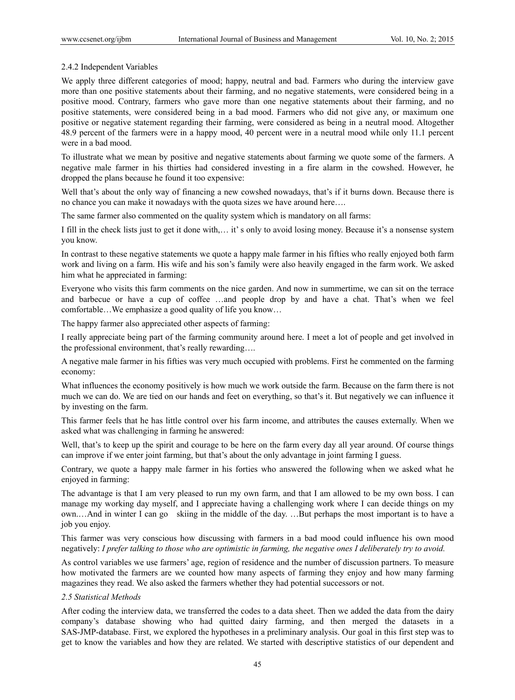## 2.4.2 Independent Variables

We apply three different categories of mood; happy, neutral and bad. Farmers who during the interview gave more than one positive statements about their farming, and no negative statements, were considered being in a positive mood. Contrary, farmers who gave more than one negative statements about their farming, and no positive statements, were considered being in a bad mood. Farmers who did not give any, or maximum one positive or negative statement regarding their farming, were considered as being in a neutral mood. Altogether 48.9 percent of the farmers were in a happy mood, 40 percent were in a neutral mood while only 11.1 percent were in a bad mood.

To illustrate what we mean by positive and negative statements about farming we quote some of the farmers. A negative male farmer in his thirties had considered investing in a fire alarm in the cowshed. However, he dropped the plans because he found it too expensive:

Well that's about the only way of financing a new cowshed nowadays, that's if it burns down. Because there is no chance you can make it nowadays with the quota sizes we have around here….

The same farmer also commented on the quality system which is mandatory on all farms:

I fill in the check lists just to get it done with,… it' s only to avoid losing money. Because it's a nonsense system you know.

In contrast to these negative statements we quote a happy male farmer in his fifties who really enjoyed both farm work and living on a farm. His wife and his son's family were also heavily engaged in the farm work. We asked him what he appreciated in farming:

Everyone who visits this farm comments on the nice garden. And now in summertime, we can sit on the terrace and barbecue or have a cup of coffee …and people drop by and have a chat. That's when we feel comfortable…We emphasize a good quality of life you know…

The happy farmer also appreciated other aspects of farming:

I really appreciate being part of the farming community around here. I meet a lot of people and get involved in the professional environment, that's really rewarding….

A negative male farmer in his fifties was very much occupied with problems. First he commented on the farming economy:

What influences the economy positively is how much we work outside the farm. Because on the farm there is not much we can do. We are tied on our hands and feet on everything, so that's it. But negatively we can influence it by investing on the farm.

This farmer feels that he has little control over his farm income, and attributes the causes externally. When we asked what was challenging in farming he answered:

Well, that's to keep up the spirit and courage to be here on the farm every day all year around. Of course things can improve if we enter joint farming, but that's about the only advantage in joint farming I guess.

Contrary, we quote a happy male farmer in his forties who answered the following when we asked what he enjoyed in farming:

The advantage is that I am very pleased to run my own farm, and that I am allowed to be my own boss. I can manage my working day myself, and I appreciate having a challenging work where I can decide things on my own.…And in winter I can go skiing in the middle of the day. …But perhaps the most important is to have a job you enjoy.

This farmer was very conscious how discussing with farmers in a bad mood could influence his own mood negatively: *I prefer talking to those who are optimistic in farming, the negative ones I deliberately try to avoid.* 

As control variables we use farmers' age, region of residence and the number of discussion partners. To measure how motivated the farmers are we counted how many aspects of farming they enjoy and how many farming magazines they read. We also asked the farmers whether they had potential successors or not.

#### *2.5 Statistical Methods*

After coding the interview data, we transferred the codes to a data sheet. Then we added the data from the dairy company's database showing who had quitted dairy farming, and then merged the datasets in a SAS-JMP-database. First, we explored the hypotheses in a preliminary analysis. Our goal in this first step was to get to know the variables and how they are related. We started with descriptive statistics of our dependent and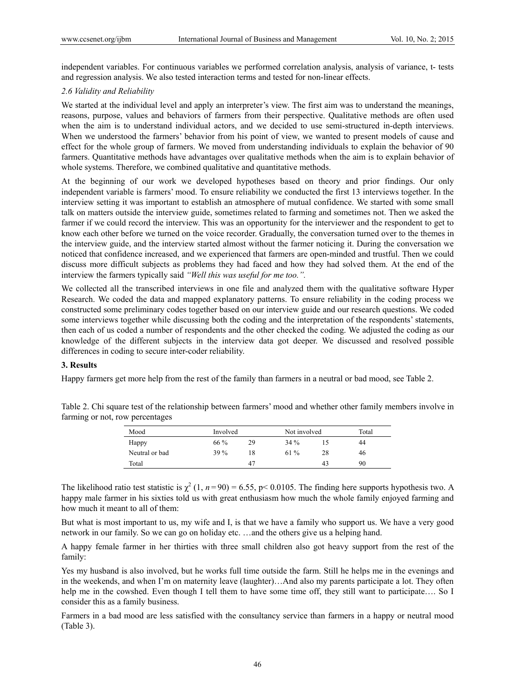independent variables. For continuous variables we performed correlation analysis, analysis of variance, t- tests and regression analysis. We also tested interaction terms and tested for non-linear effects.

## *2.6 Validity and Reliability*

We started at the individual level and apply an interpreter's view. The first aim was to understand the meanings, reasons, purpose, values and behaviors of farmers from their perspective. Qualitative methods are often used when the aim is to understand individual actors, and we decided to use semi-structured in-depth interviews. When we understood the farmers' behavior from his point of view, we wanted to present models of cause and effect for the whole group of farmers. We moved from understanding individuals to explain the behavior of 90 farmers. Quantitative methods have advantages over qualitative methods when the aim is to explain behavior of whole systems. Therefore, we combined qualitative and quantitative methods.

At the beginning of our work we developed hypotheses based on theory and prior findings. Our only independent variable is farmers' mood. To ensure reliability we conducted the first 13 interviews together. In the interview setting it was important to establish an atmosphere of mutual confidence. We started with some small talk on matters outside the interview guide, sometimes related to farming and sometimes not. Then we asked the farmer if we could record the interview. This was an opportunity for the interviewer and the respondent to get to know each other before we turned on the voice recorder. Gradually, the conversation turned over to the themes in the interview guide, and the interview started almost without the farmer noticing it. During the conversation we noticed that confidence increased, and we experienced that farmers are open-minded and trustful. Then we could discuss more difficult subjects as problems they had faced and how they had solved them. At the end of the interview the farmers typically said *"Well this was useful for me too.".* 

We collected all the transcribed interviews in one file and analyzed them with the qualitative software Hyper Research. We coded the data and mapped explanatory patterns. To ensure reliability in the coding process we constructed some preliminary codes together based on our interview guide and our research questions. We coded some interviews together while discussing both the coding and the interpretation of the respondents' statements, then each of us coded a number of respondents and the other checked the coding. We adjusted the coding as our knowledge of the different subjects in the interview data got deeper. We discussed and resolved possible differences in coding to secure inter-coder reliability.

#### **3. Results**

Happy farmers get more help from the rest of the family than farmers in a neutral or bad mood, see Table 2.

| Mood           |        | Involved |        | Not involved | Total |
|----------------|--------|----------|--------|--------------|-------|
| Happy          | $66\%$ | 29       | 34%    |              | 44    |
| Neutral or bad | 39 %   | 18       | $61\%$ | 28           | 46    |
| Total          |        | 47       |        | 43           | 90    |

Table 2. Chi square test of the relationship between farmers' mood and whether other family members involve in farming or not, row percentages

The likelihood ratio test statistic is  $\chi^2$  (1, *n* = 90) = 6.55, p < 0.0105. The finding here supports hypothesis two. A happy male farmer in his sixties told us with great enthusiasm how much the whole family enjoyed farming and how much it meant to all of them:

But what is most important to us, my wife and I, is that we have a family who support us. We have a very good network in our family. So we can go on holiday etc. …and the others give us a helping hand.

A happy female farmer in her thirties with three small children also got heavy support from the rest of the family:

Yes my husband is also involved, but he works full time outside the farm. Still he helps me in the evenings and in the weekends, and when I'm on maternity leave (laughter)…And also my parents participate a lot. They often help me in the cowshed. Even though I tell them to have some time off, they still want to participate.... So I consider this as a family business.

Farmers in a bad mood are less satisfied with the consultancy service than farmers in a happy or neutral mood (Table 3).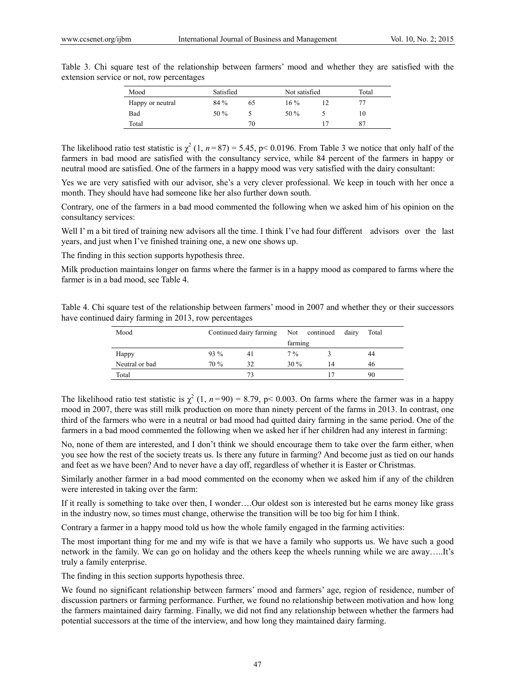| Mood             |      | Satisfied |        | Not satisfied | Total |
|------------------|------|-----------|--------|---------------|-------|
| Happy or neutral | 84%  | 65        | $16\%$ |               |       |
| Bad              | 50 % |           | 50 $%$ |               | 10    |
| Total            |      | 70        |        |               | 87    |

Table 3. Chi square test of the relationship between farmers' mood and whether they are satisfied with the extension service or not, row percentages

The likelihood ratio test statistic is  $\chi^2$  (1, *n* = 87) = 5.45, p < 0.0196. From Table 3 we notice that only half of the farmers in bad mood are satisfied with the consultancy service, while 84 percent of the farmers in happy or neutral mood are satisfied. One of the farmers in a happy mood was very satisfied with the dairy consultant:

Yes we are very satisfied with our advisor, she's a very clever professional. We keep in touch with her once a month. They should have had someone like her also further down south.

Contrary, one of the farmers in a bad mood commented the following when we asked him of his opinion on the consultancy services:

Well I' m a bit tired of training new advisors all the time. I think I've had four different advisors over the last years, and just when I've finished training one, a new one shows up.

The finding in this section supports hypothesis three.

Milk production maintains longer on farms where the farmer is in a happy mood as compared to farms where the farmer is in a bad mood, see Table 4.

Table 4. Chi square test of the relationship between farmers' mood in 2007 and whether they or their successors have continued dairy farming in 2013, row percentages

| Mood           | Continued dairy farming |    |         | Not continued | dairy | Total |
|----------------|-------------------------|----|---------|---------------|-------|-------|
|                |                         |    | farming |               |       |       |
| Happy          | $93\%$                  | 41 | $7\%$   |               |       | 44    |
| Neutral or bad | 70 %                    | 32 | $30\%$  | 14            |       | 46    |
| Total          |                         | 73 |         |               |       | 90    |

The likelihood ratio test statistic is  $\chi^2$  (1, *n*=90) = 8.79, p< 0.003. On farms where the farmer was in a happy mood in 2007, there was still milk production on more than ninety percent of the farms in 2013. In contrast, one third of the farmers who were in a neutral or bad mood had quitted dairy farming in the same period. One of the farmers in a bad mood commented the following when we asked her if her children had any interest in farming:

No, none of them are interested, and I don't think we should encourage them to take over the farm either, when you see how the rest of the society treats us. Is there any future in farming? And become just as tied on our hands and feet as we have been? And to never have a day off, regardless of whether it is Easter or Christmas.

Similarly another farmer in a bad mood commented on the economy when we asked him if any of the children were interested in taking over the farm:

If it really is something to take over then, I wonder….Our oldest son is interested but he earns money like grass in the industry now, so times must change, otherwise the transition will be too big for him I think.

Contrary a farmer in a happy mood told us how the whole family engaged in the farming activities:

The most important thing for me and my wife is that we have a family who supports us. We have such a good network in the family. We can go on holiday and the others keep the wheels running while we are away…..It's truly a family enterprise.

The finding in this section supports hypothesis three.

We found no significant relationship between farmers' mood and farmers' age, region of residence, number of discussion partners or farming performance. Further, we found no relationship between motivation and how long the farmers maintained dairy farming. Finally, we did not find any relationship between whether the farmers had potential successors at the time of the interview, and how long they maintained dairy farming.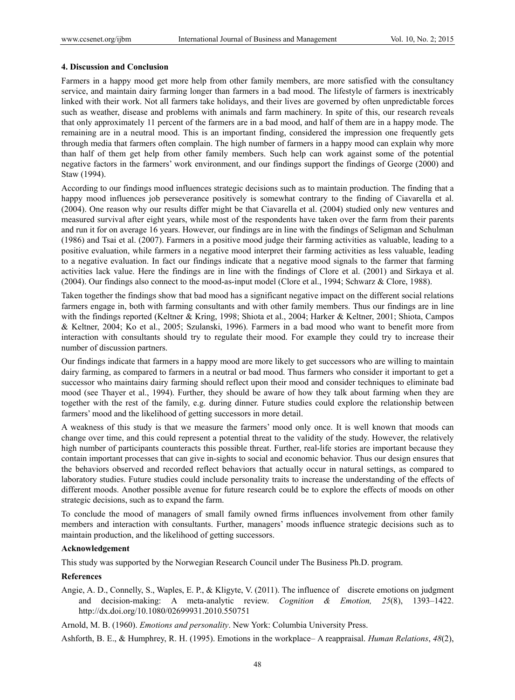#### **4. Discussion and Conclusion**

Farmers in a happy mood get more help from other family members, are more satisfied with the consultancy service, and maintain dairy farming longer than farmers in a bad mood. The lifestyle of farmers is inextricably linked with their work. Not all farmers take holidays, and their lives are governed by often unpredictable forces such as weather, disease and problems with animals and farm machinery. In spite of this, our research reveals that only approximately 11 percent of the farmers are in a bad mood, and half of them are in a happy mode. The remaining are in a neutral mood. This is an important finding, considered the impression one frequently gets through media that farmers often complain. The high number of farmers in a happy mood can explain why more than half of them get help from other family members. Such help can work against some of the potential negative factors in the farmers' work environment, and our findings support the findings of George (2000) and Staw (1994).

According to our findings mood influences strategic decisions such as to maintain production. The finding that a happy mood influences job perseverance positively is somewhat contrary to the finding of Ciavarella et al. (2004). One reason why our results differ might be that Ciavarella et al. (2004) studied only new ventures and measured survival after eight years, while most of the respondents have taken over the farm from their parents and run it for on average 16 years. However, our findings are in line with the findings of Seligman and Schulman (1986) and Tsai et al. (2007). Farmers in a positive mood judge their farming activities as valuable, leading to a positive evaluation, while farmers in a negative mood interpret their farming activities as less valuable, leading to a negative evaluation. In fact our findings indicate that a negative mood signals to the farmer that farming activities lack value. Here the findings are in line with the findings of Clore et al. (2001) and Sirkaya et al. (2004). Our findings also connect to the mood-as-input model (Clore et al., 1994; Schwarz & Clore, 1988).

Taken together the findings show that bad mood has a significant negative impact on the different social relations farmers engage in, both with farming consultants and with other family members. Thus our findings are in line with the findings reported (Keltner & Kring, 1998; Shiota et al., 2004; Harker & Keltner, 2001; Shiota, Campos & Keltner, 2004; Ko et al., 2005; Szulanski, 1996). Farmers in a bad mood who want to benefit more from interaction with consultants should try to regulate their mood. For example they could try to increase their number of discussion partners.

Our findings indicate that farmers in a happy mood are more likely to get successors who are willing to maintain dairy farming, as compared to farmers in a neutral or bad mood. Thus farmers who consider it important to get a successor who maintains dairy farming should reflect upon their mood and consider techniques to eliminate bad mood (see Thayer et al., 1994). Further, they should be aware of how they talk about farming when they are together with the rest of the family, e.g. during dinner. Future studies could explore the relationship between farmers' mood and the likelihood of getting successors in more detail.

A weakness of this study is that we measure the farmers' mood only once. It is well known that moods can change over time, and this could represent a potential threat to the validity of the study. However, the relatively high number of participants counteracts this possible threat. Further, real-life stories are important because they contain important processes that can give in-sights to social and economic behavior. Thus our design ensures that the behaviors observed and recorded reflect behaviors that actually occur in natural settings, as compared to laboratory studies. Future studies could include personality traits to increase the understanding of the effects of different moods. Another possible avenue for future research could be to explore the effects of moods on other strategic decisions, such as to expand the farm.

To conclude the mood of managers of small family owned firms influences involvement from other family members and interaction with consultants. Further, managers' moods influence strategic decisions such as to maintain production, and the likelihood of getting successors.

## **Acknowledgement**

This study was supported by the Norwegian Research Council under The Business Ph.D. program.

# **References**

Angie, A. D., Connelly, S., Waples, E. P., & Kligyte, V. (2011). The influence of discrete emotions on judgment and decision-making: A meta-analytic review. *Cognition & Emotion, 25*(8), 1393–1422. http://dx.doi.org/10.1080/02699931.2010.550751

Arnold, M. B. (1960). *Emotions and personality*. New York: Columbia University Press.

Ashforth, B. E., & Humphrey, R. H. (1995). Emotions in the workplace– A reappraisal. *Human Relations*, *48*(2),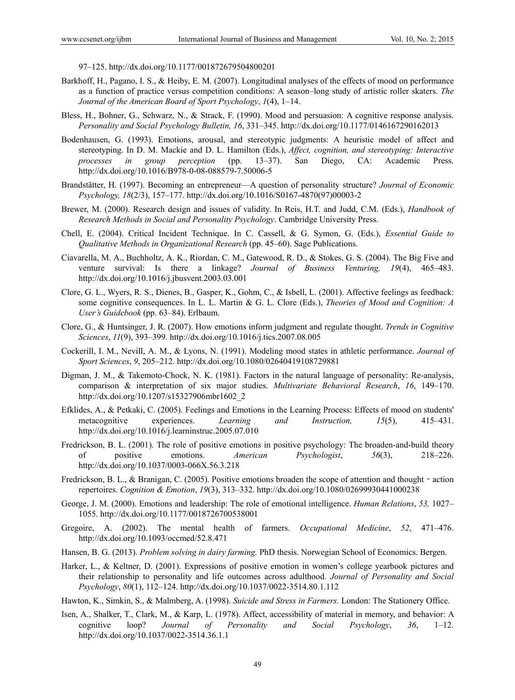97–125. http://dx.doi.org/10.1177/001872679504800201

- Barkhoff, H., Pagano, I. S., & Heiby, E. M. (2007). Longitudinal analyses of the effects of mood on performance as a function of practice versus competition conditions: A season–long study of artistic roller skaters. *The Journal of the American Board of Sport Psychology*, *1*(4), 1–14.
- Bless, H., Bohner, G., Schwarz, N., & Strack, F. (1990). Mood and persuasion: A cognitive response analysis. *Personality and Social Psychology Bulletin, 16*, 331–345. http://dx.doi.org/10.1177/0146167290162013
- Bodenhausen, G. (1993). Emotions, arousal, and stereotypic judgments: A heuristic model of affect and stereotyping. In D. M. Mackie and D. L. Hamilton (Eds.), *Affect, cognition, and stereotyping: Interactive processes in group perception* (pp. 13–37). San Diego, CA: Academic Press. http://dx.doi.org/10.1016/B978-0-08-088579-7.50006-5
- Brandstätter, H. (1997). Becoming an entrepreneur—A question of personality structure? *Journal of Economic Psychology, 18*(2/3), 157–177. http://dx.doi.org/10.1016/S0167-4870(97)00003-2
- Brewer, M. (2000). Research design and issues of validity. In Reis, H.T. and Judd, C.M. (Eds.), *Handbook of Research Methods in Social and Personality Psychology*. Cambridge University Press.
- Chell, E. (2004). Critical Incident Technique. In C. Cassell, & G. Symon, G. (Eds.), *Essential Guide to Qualitative Methods in Organizational Research* (pp. 45–60). Sage Publications.
- Ciavarella, M. A., Buchholtz, A. K., Riordan, C. M., Gatewood, R. D., & Stokes, G. S. (2004). The Big Five and venture survival: Is there a linkage? *Journal of Business Venturing, 19*(4), 465–483. http://dx.doi.org/10.1016/j.jbusvent.2003.03.001
- Clore, G. L., Wyers, R. S., Dienes, B., Gasper, K., Gohm, C., & Isbell, L. (2001). Affective feelings as feedback: some cognitive consequences. In L. L. Martin & G. L. Clore (Eds.), *Theories of Mood and Cognition: A User's Guidebook* (pp. 63–84). Erlbaum.
- Clore, G., & Huntsinger, J. R. (2007). How emotions inform judgment and regulate thought. *Trends in Cognitive Sciences*, *11*(9), 393–399. http://dx.doi.org/10.1016/j.tics.2007.08.005
- Cockerill, I. M., Nevill, A. M., & Lyons, N. (1991). Modeling mood states in athletic performance. *Journal of Sport Sciences*, *9*, 205–212. http://dx.doi.org/10.1080/02640419108729881
- Digman, J. M., & Takemoto-Chock, N. K. (1981). Factors in the natural language of personality: Re-analysis, comparison & interpretation of six major studies. *Multivariate Behavioral Research*, *16*, 149–170. http://dx.doi.org/10.1207/s15327906mbr1602\_2
- Efklides, A., & Petkaki, C. (2005). Feelings and Emotions in the Learning Process: Effects of mood on students' metacognitive experiences. *Learning and Instruction, 15*(5), 415–431. http://dx.doi.org/10.1016/j.learninstruc.2005.07.010
- Fredrickson, B. L. (2001). The role of positive emotions in positive psychology: The broaden-and-build theory of positive emotions. *American Psychologist*, *56*(3), 218–226. http://dx.doi.org/10.1037/0003-066X.56.3.218
- Fredrickson, B. L., & Branigan, C. (2005). Positive emotions broaden the scope of attention and thought action repertoires. *Cognition & Emotion*, *19*(3), 313–332. http://dx.doi.org/10.1080/02699930441000238
- George, J. M. (2000). Emotions and leadership: The role of emotional intelligence. *Human Relations*, *53,* 1027– 1055. http://dx.doi.org/10.1177/0018726700538001
- Gregoire, A. (2002). The mental health of farmers. *Occupational Medicine*, *52*, 471–476. http://dx.doi.org/10.1093/occmed/52.8.471
- Hansen, B. G. (2013). *Problem solving in dairy farming.* PhD thesis. Norwegian School of Economics. Bergen.
- Harker, L., & Keltner, D. (2001). Expressions of positive emotion in women's college yearbook pictures and their relationship to personality and life outcomes across adulthood. *Journal of Personality and Social Psychology*, *80*(1), 112–124. http://dx.doi.org/10.1037/0022-3514.80.1.112
- Hawton, K., Simkin, S., & Malmberg, A. (1998). *Suicide and Stress in Farmers.* London: The Stationery Office.
- Isen, A., Shalker, T., Clark, M., & Karp, L. (1978). Affect, accessibility of material in memory, and behavior: A cognitive loop? *Journal of Personality and Social Psychology*, *36*, 1–12. http://dx.doi.org/10.1037/0022-3514.36.1.1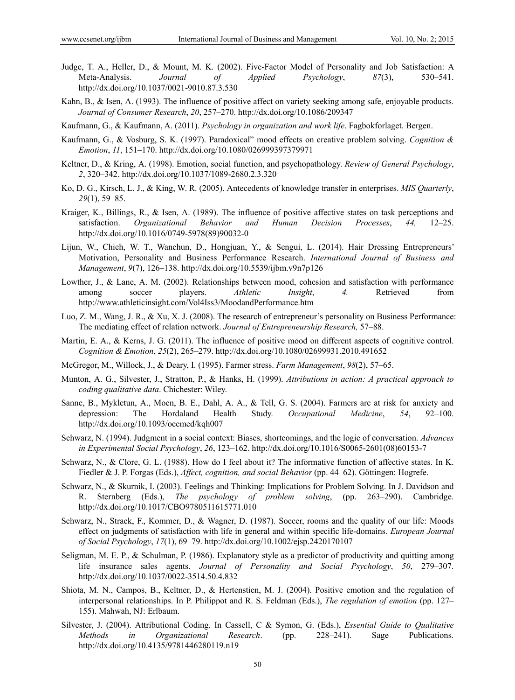- Judge, T. A., Heller, D., & Mount, M. K. (2002). Five-Factor Model of Personality and Job Satisfaction: A Meta-Analysis. *Journal of Applied Psychology*, *87*(3), 530–541. http://dx.doi.org/10.1037/0021-9010.87.3.530
- Kahn, B., & Isen, A. (1993). The influence of positive affect on variety seeking among safe, enjoyable products. *Journal of Consumer Research*, *20*, 257–270. http://dx.doi.org/10.1086/209347
- Kaufmann, G., & Kaufmann, A. (2011). *Psychology in organization and work life*. Fagbokforlaget. Bergen.
- Kaufmann, G., & Vosburg, S. K. (1997). Paradoxical" mood effects on creative problem solving. *Cognition & Emotion*, *11*, 151–170. http://dx.doi.org/10.1080/026999397379971
- Keltner, D., & Kring, A. (1998). Emotion, social function, and psychopathology. *Review of General Psychology*, *2*, 320–342. http://dx.doi.org/10.1037/1089-2680.2.3.320
- Ko, D. G., Kirsch, L. J., & King, W. R. (2005). Antecedents of knowledge transfer in enterprises. *MIS Quarterly*, *29*(1), 59–85.
- Kraiger, K., Billings, R., & Isen, A. (1989). The influence of positive affective states on task perceptions and satisfaction. *Organizational Behavior and Human Decision Processes*, *44,* 12–25. http://dx.doi.org/10.1016/0749-5978(89)90032-0
- Lijun, W., Chieh, W. T., Wanchun, D., Hongjuan, Y., & Sengui, L. (2014). Hair Dressing Entrepreneurs' Motivation, Personality and Business Performance Research. *International Journal of Business and Management*, *9*(7), 126–138. http://dx.doi.org/10.5539/ijbm.v9n7p126
- Lowther, J., & Lane, A. M. (2002). Relationships between mood, cohesion and satisfaction with performance among soccer players. *Athletic Insight*, *4.* Retrieved from http://www.athleticinsight.com/Vol4Iss3/MoodandPerformance.htm
- Luo, Z. M., Wang, J. R., & Xu, X. J. (2008). The research of entrepreneur's personality on Business Performance: The mediating effect of relation network. *Journal of Entrepreneurship Research,* 57–88.
- Martin, E. A., & Kerns, J. G. (2011). The influence of positive mood on different aspects of cognitive control. *Cognition & Emotion*, *25*(2), 265–279. http://dx.doi.org/10.1080/02699931.2010.491652
- McGregor, M., Willock, J., & Deary, I. (1995). Farmer stress. *Farm Management*, *98*(2), 57–65.
- Munton, A. G., Silvester, J., Stratton, P., & Hanks, H. (1999). *Attributions in action: A practical approach to coding qualitative data*. Chichester: Wiley.
- Sanne, B., Mykletun, A., Moen, B. E., Dahl, A. A., & Tell, G. S. (2004). Farmers are at risk for anxiety and depression: The Hordaland Health Study. *Occupational Medicine*, *54*, 92–100. http://dx.doi.org/10.1093/occmed/kqh007
- Schwarz, N. (1994). Judgment in a social context: Biases, shortcomings, and the logic of conversation. *Advances in Experimental Social Psychology*, *26*, 123–162. http://dx.doi.org/10.1016/S0065-2601(08)60153-7
- Schwarz, N., & Clore, G. L. (1988). How do I feel about it? The informative function of affective states. In K. Fiedler & J. P. Forgas (Eds.), *Affect, cognition, and social Behavior* (pp. 44–62). Göttingen: Hogrefe.
- Schwarz, N., & Skurnik, I. (2003). Feelings and Thinking: Implications for Problem Solving. In J. Davidson and R. Sternberg (Eds.), *The psychology of problem solving*, (pp. 263–290). Cambridge. http://dx.doi.org/10.1017/CBO9780511615771.010
- Schwarz, N., Strack, F., Kommer, D., & Wagner, D. (1987). Soccer, rooms and the quality of our life: Moods effect on judgments of satisfaction with life in general and within specific life-domains. *European Journal of Social Psychology*, *17*(1), 69–79. http://dx.doi.org/10.1002/ejsp.2420170107
- Seligman, M. E. P., & Schulman, P. (1986). Explanatory style as a predictor of productivity and quitting among life insurance sales agents. *Journal of Personality and Social Psychology*, *50*, 279–307. http://dx.doi.org/10.1037/0022-3514.50.4.832
- Shiota, M. N., Campos, B., Keltner, D., & Hertenstien, M. J. (2004). Positive emotion and the regulation of interpersonal relationships. In P. Philippot and R. S. Feldman (Eds.), *The regulation of emotion* (pp. 127– 155). Mahwah, NJ: Erlbaum.
- Silvester, J. (2004). Attributional Coding. In Cassell, C & Symon, G. (Eds.), *Essential Guide to Qualitative Methods in Organizational Research*. (pp. 228–241). Sage Publications. http://dx.doi.org/10.4135/9781446280119.n19